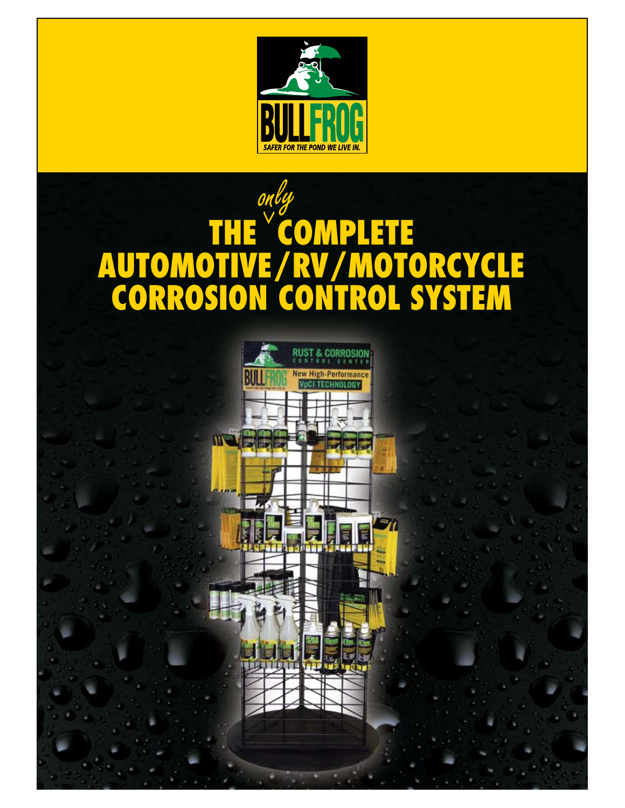

### only^THE COMPL E E **AUTOMOTIVE/RV/MOTORCYCLE Corrosion control System**

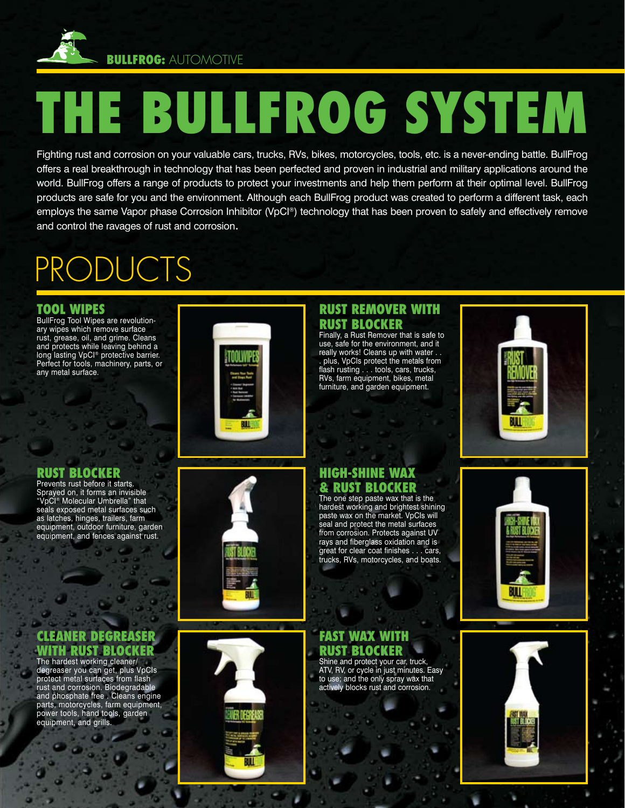

## **The BullFrog System**

Fighting rust and corrosion on your valuable cars, trucks, RVs, bikes, motorcycles, tools, etc. is a never-ending battle. BullFrog offers a real breakthrough in technology that has been perfected and proven in industrial and military applications around the world. BullFrog offers a range of products to protect your investments and help them perform at their optimal level. BullFrog products are safe for you and the environment. Although each BullFrog product was created to perform a different task, each employs the same Vapor phase Corrosion Inhibitor (VpCI®) technology that has been proven to safely and effectively remove and control the ravages of rust and corrosion.

### PRODUCTS

### **Tool WIPES**

BullFrog Tool Wipes are revolutionary wipes which remove surface rust, grease, oil, and grime. Cleans and protects while leaving behind a long lasting VpCI® protective barrier. Perfect for tools, machinery, parts, or any metal surface.

### **rust blocker**

Prevents rust before it starts. Sprayed on, it forms an invisible "VpCI® Molecular Umbrella" that seals exposed metal surfaces such as latches, hinges, trailers, farm equipment, outdoor furniture, garden equipment, and fences against rust.

### **cleaner degreaser WITH rust blocker**

The hardest working cleaner/ degreaser you can get, plus VpCIs protect metal surfaces from flash rust and corrosion. Biodegradable and phosphate free . Cleans engine parts, motorcycles, farm equipment, power tools, hand tools, garden equipment, and grills.







really works! Cleans up with water . . . plus, VpCIs protect the metals from flash rusting . . . tools, cars, trucks, RVs, farm equipment, bikes, metal furniture, and garden equipment.

**Rust Remover WITH** 



#### **high-shine wax & rust blocker** The one step paste wax that is the

hardest working and brightest shining paste wax on the market. VpCIs will seal and protect the metal surfaces from corrosion. Protects against UV rays and fiberglass oxidation and is great for clear coat finishes . . . cars, trucks, RVs, motorcycles, and boats.

#### **Fast wax with rust blocker** Shine and protect your car, truck,

ATV, RV, or cycle in just minutes. Easy to use; and the only spray wax that actively blocks rust and corrosion.





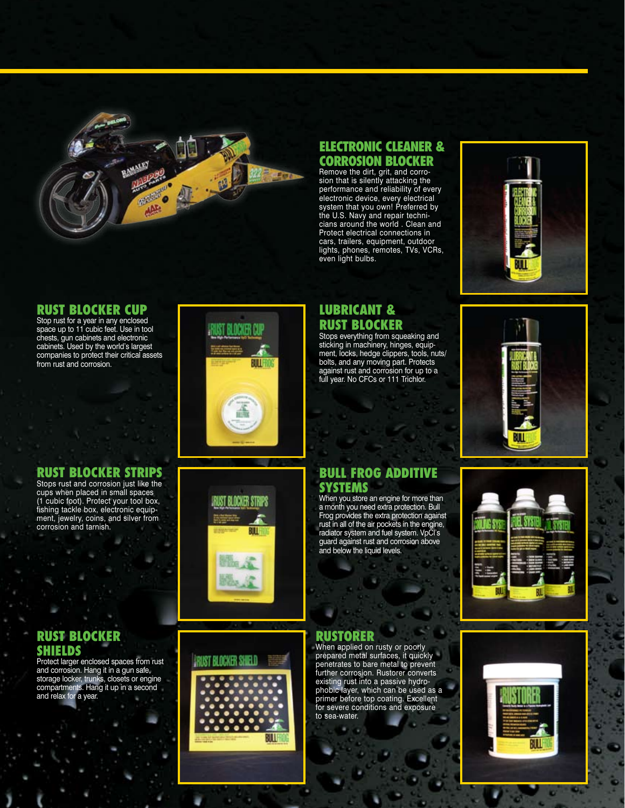

### **electronic cleaner & CORROSION BLOCKER**<br>Remove the dirt, grit, and corro-

sion that is silently attacking the performance and reliability of every electronic device, every electrical system that you own! Preferred by the U.S. Navy and repair technicians around the world . Clean and Protect electrical connections in cars, trailers, equipment, outdoor lights, phones, remotes, TVs, VCRs, even light bulbs.



### **RUST BLOCKER CUP**<br>Stop rust for a year in any enclosed

space up to 11 cubic feet. Use in tool chests, gun cabinets and electronic cabinets. Used by the world's largest companies to protect their critical assets from rust and corrosion.

# BLOCKER CU ΠЦ

### **rust blocker strips**

Stops rust and corrosion just like the cups when placed in small spaces (1 cubic foot). Protect your tool box, fishing tackle box, electronic equipment, jewelry, coins, and silver from corrosion and tarnish.

### **rust blocker SHIELDS**

Protect larger enclosed spaces from rust and corrosion. Hang it in a gun safe, storage locker, trunks, closets or engine compartments. Hang it up in a second and relax for a year.

## RUST BLOCKER STRIPS IJЦ



### **lubricant & rust blocker**

Stops everything from squeaking and sticking in machinery, hinges, equipment, locks, hedge clippers, tools, nuts/ bolts, and any moving part. Protects against rust and corrosion for up to a full year. No CFCs or 111 Trichlor.



### **Bull Frog Additive systems**

When you store an engine for more than<br>a month you need extra protection. Bull a month you need extra protection. Bull Frog provides the extra protection against rust in all of the air pockets in the engine, radiator system and fuel system. VpCI's guard against rust and corrosion above and below the liquid levels.

### **Rustorer**

When applied on rusty or poorly prepared metal surfaces, it quickly penetrates to bare metal to prevent further corrosion. Rustorer converts existing rust into a passive hydrophobic layer, which can be used as a primer before top coating. Excellent for severe conditions and exposure to sea-water.